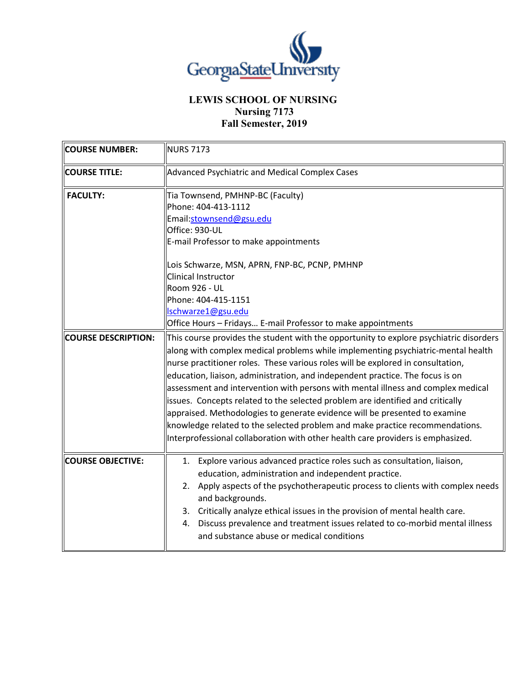

## **LEWIS SCHOOL OF NURSING Nursing 7173 Fall Semester, 2019**

| <b>COURSE NUMBER:</b>      | <b>NURS 7173</b>                                                                                                                                                                                                                                                                                                                                                                                                                                                                                                                                                                                                                                                                                                                                                      |
|----------------------------|-----------------------------------------------------------------------------------------------------------------------------------------------------------------------------------------------------------------------------------------------------------------------------------------------------------------------------------------------------------------------------------------------------------------------------------------------------------------------------------------------------------------------------------------------------------------------------------------------------------------------------------------------------------------------------------------------------------------------------------------------------------------------|
| <b>COURSE TITLE:</b>       | Advanced Psychiatric and Medical Complex Cases                                                                                                                                                                                                                                                                                                                                                                                                                                                                                                                                                                                                                                                                                                                        |
| <b>FACULTY:</b>            | Tia Townsend, PMHNP-BC (Faculty)<br>Phone: 404-413-1112<br>Email:stownsend@gsu.edu<br>Office: 930-UL<br>E-mail Professor to make appointments<br>Lois Schwarze, MSN, APRN, FNP-BC, PCNP, PMHNP                                                                                                                                                                                                                                                                                                                                                                                                                                                                                                                                                                        |
|                            | Clinical Instructor<br><b>Room 926 - UL</b><br>Phone: 404-415-1151<br>lschwarze1@gsu.edu<br>Office Hours - Fridays E-mail Professor to make appointments                                                                                                                                                                                                                                                                                                                                                                                                                                                                                                                                                                                                              |
| <b>COURSE DESCRIPTION:</b> | This course provides the student with the opportunity to explore psychiatric disorders<br>along with complex medical problems while implementing psychiatric-mental health<br>nurse practitioner roles. These various roles will be explored in consultation,<br>education, liaison, administration, and independent practice. The focus is on<br>assessment and intervention with persons with mental illness and complex medical<br>issues. Concepts related to the selected problem are identified and critically<br>appraised. Methodologies to generate evidence will be presented to examine<br>knowledge related to the selected problem and make practice recommendations.<br>Interprofessional collaboration with other health care providers is emphasized. |
| <b>COURSE OBJECTIVE:</b>   | 1. Explore various advanced practice roles such as consultation, liaison,<br>education, administration and independent practice.<br>2. Apply aspects of the psychotherapeutic process to clients with complex needs<br>and backgrounds.<br>3. Critically analyze ethical issues in the provision of mental health care.<br>4. Discuss prevalence and treatment issues related to co-morbid mental illness<br>and substance abuse or medical conditions                                                                                                                                                                                                                                                                                                                |